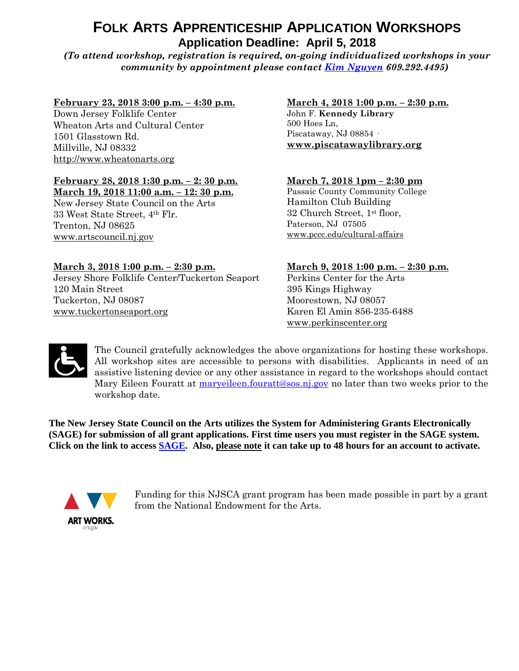# **FOLK ARTS APPRENTICESHIP APPLICATION WORKSHOPS Application Deadline: April 5, 2018**

*(To attend workshop, registration is required, on-going individualized workshops in your community by appointment please contact [Kim Nguyen](mailto:kim.nguyen@sos.nj.gov) 609.292.4495)*

#### **February 23, 2018 3:00 p.m. – 4:30 p.m.**

Down Jersey Folklife Center Wheaton Arts and Cultural Center 1501 Glasstown Rd. Millville, NJ 08332 [http://www.wheatonarts.org](http://www.wheatonarts.org/)

# **February 28, 2018 1:30 p.m. – 2: 30 p.m.**

**March 19, 2018 11:00 a.m. – 12: 30 p.m.** New Jersey State Council on the Arts 33 West State Street, 4th Flr. Trenton, NJ 08625 [www.artscouncil.nj.gov](http://www.artscouncil.nj.gov/)

#### **March 3, 2018 1:00 p.m. – 2:30 p.m.**

Jersey Shore Folklife Center/Tuckerton Seaport 120 Main Street Tuckerton, NJ 08087 [www.tuckertonseaport.org](http://www.tuckertonseaport.org/)

#### **March 4, 2018 1:00 p.m. – 2:30 p.m.** John F. **Kennedy Library**  500 Hoes Ln, Piscataway, NJ 08854 · **[www.piscatawaylibrary.org](http://www.piscatawaylibrary.org/)**

#### **March 7, 2018 1pm – 2:30 pm**

Passaic County Community College Hamilton Club Building 32 Church Street, 1st floor, Paterson, NJ 07505 [www.pccc.edu/cultural-affairs](http://www.pccc.edu/cultural-affairs)

#### **March 9, 2018 1:00 p.m. – 2:30 p.m.**

Perkins Center for the Arts 395 Kings Highway Moorestown, NJ 08057 Karen El Amin 856-235-6488 [www.perkinscenter.org](http://www.perkinscenter.org/)



The Council gratefully acknowledges the above organizations for hosting these workshops. All workshop sites are accessible to persons with disabilities. Applicants in need of an assistive listening device or any other assistance in regard to the workshops should contact Mary Eileen Fouratt at [maryeileen.fouratt@sos.nj.gov](mailto:maryeileen.fouratt@sos.nj.gov) no later than two weeks prior to the workshop date.

**The New Jersey State Council on the Arts utilizes the System for Administering Grants Electronically (SAGE) for submission of all grant applications. First time users you must register in the SAGE system. Click on the link to access [SAGE.](https://njsage.intelligrants.com/Login.aspx?APPTHEME=NJSAGE) Also, please note it can take up to 48 hours for an account to activate.** 



Funding for this NJSCA grant program has been made possible in part by a grant from the National Endowment for the Arts.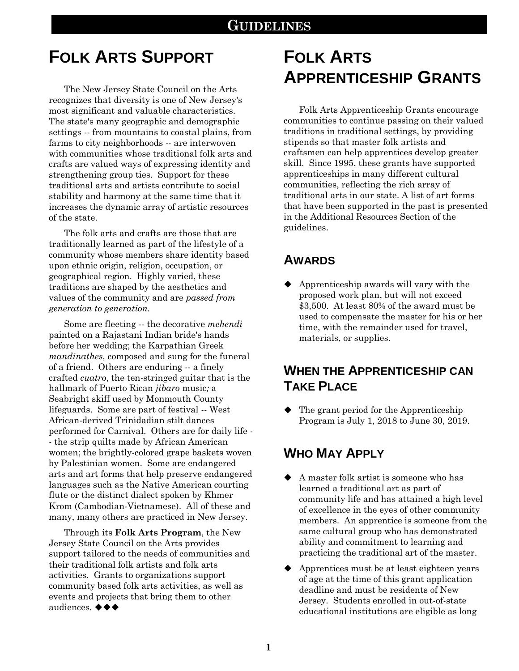# **FOLK ARTS SUPPORT**

The New Jersey State Council on the Arts recognizes that diversity is one of New Jersey's most significant and valuable characteristics. The state's many geographic and demographic settings -- from mountains to coastal plains, from farms to city neighborhoods -- are interwoven with communities whose traditional folk arts and crafts are valued ways of expressing identity and strengthening group ties. Support for these traditional arts and artists contribute to social stability and harmony at the same time that it increases the dynamic array of artistic resources of the state.

The folk arts and crafts are those that are traditionally learned as part of the lifestyle of a community whose members share identity based upon ethnic origin, religion, occupation, or geographical region. Highly varied, these traditions are shaped by the aesthetics and values of the community and are *passed from generation to generation.*

Some are fleeting -- the decorative *mehendi*  painted on a Rajastani Indian bride's hands before her wedding; the Karpathian Greek *mandinathes,* composed and sung for the funeral of a friend. Others are enduring -- a finely crafted *cuatro*, the ten-stringed guitar that is the hallmark of Puerto Rican *jibaro* music*;* a Seabright skiff used by Monmouth County lifeguards. Some are part of festival -- West African-derived Trinidadian stilt dances performed for Carnival. Others are for daily life - - the strip quilts made by African American women; the brightly-colored grape baskets woven by Palestinian women. Some are endangered arts and art forms that help preserve endangered languages such as the Native American courting flute or the distinct dialect spoken by Khmer Krom (Cambodian-Vietnamese). All of these and many, many others are practiced in New Jersey.

Through its **Folk Arts Program**, the New Jersey State Council on the Arts provides support tailored to the needs of communities and their traditional folk artists and folk arts activities. Grants to organizations support community based folk arts activities, as well as events and projects that bring them to other audiences. ◆◆◆

# **FOLK ARTS APPRENTICESHIP GRANTS**

Folk Arts Apprenticeship Grants encourage communities to continue passing on their valued traditions in traditional settings, by providing stipends so that master folk artists and craftsmen can help apprentices develop greater skill. Since 1995, these grants have supported apprenticeships in many different cultural communities, reflecting the rich array of traditional arts in our state. A list of art forms that have been supported in the past is presented in the Additional Resources Section of the guidelines.

### **AWARDS**

 Apprenticeship awards will vary with the proposed work plan, but will not exceed \$3,500. At least 80% of the award must be used to compensate the master for his or her time, with the remainder used for travel, materials, or supplies.

# **WHEN THE APPRENTICESHIP CAN TAKE PLACE**

 $\blacklozenge$  The grant period for the Apprenticeship Program is July 1, 2018 to June 30, 2019.

# **WHO MAY APPLY**

- A master folk artist is someone who has learned a traditional art as part of community life and has attained a high level of excellence in the eyes of other community members. An apprentice is someone from the same cultural group who has demonstrated ability and commitment to learning and practicing the traditional art of the master.
- ◆ Apprentices must be at least eighteen years of age at the time of this grant application deadline and must be residents of New Jersey. Students enrolled in out-of-state educational institutions are eligible as long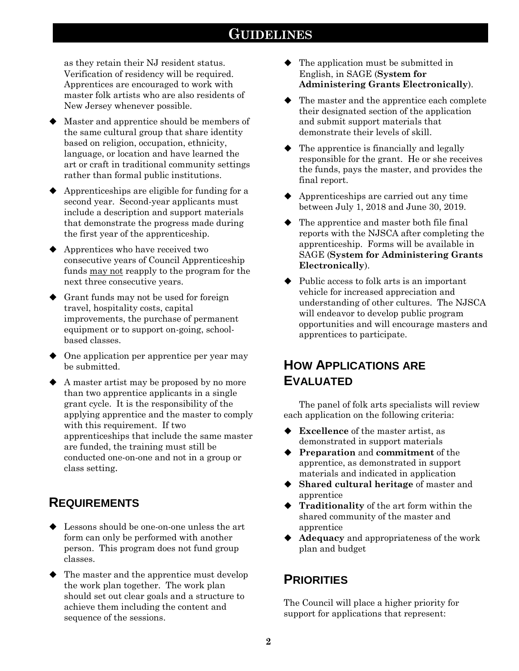as they retain their NJ resident status. Verification of residency will be required. Apprentices are encouraged to work with master folk artists who are also residents of New Jersey whenever possible.

- Master and apprentice should be members of the same cultural group that share identity based on religion, occupation, ethnicity, language, or location and have learned the art or craft in traditional community settings rather than formal public institutions.
- $\blacklozenge$  Apprenticeships are eligible for funding for a second year. Second-year applicants must include a description and support materials that demonstrate the progress made during the first year of the apprenticeship.
- $\blacklozenge$  Apprentices who have received two consecutive years of Council Apprenticeship funds may not reapply to the program for the next three consecutive years.
- Grant funds may not be used for foreign travel, hospitality costs, capital improvements, the purchase of permanent equipment or to support on-going, schoolbased classes.
- $\blacklozenge$  One application per apprentice per year may be submitted.
- A master artist may be proposed by no more than two apprentice applicants in a single grant cycle. It is the responsibility of the applying apprentice and the master to comply with this requirement. If two apprenticeships that include the same master are funded, the training must still be conducted one-on-one and not in a group or class setting.

# **REQUIREMENTS**

- Lessons should be one-on-one unless the art form can only be performed with another person. This program does not fund group classes.
- The master and the apprentice must develop the work plan together. The work plan should set out clear goals and a structure to achieve them including the content and sequence of the sessions.
- $\blacklozenge$  The application must be submitted in English, in SAGE (**System for Administering Grants Electronically**).
- The master and the apprentice each complete their designated section of the application and submit support materials that demonstrate their levels of skill.
- $\blacklozenge$  The apprentice is financially and legally responsible for the grant. He or she receives the funds, pays the master, and provides the final report.
- ◆ Apprenticeships are carried out any time between July 1, 2018 and June 30, 2019.
- $\blacklozenge$  The apprentice and master both file final reports with the NJSCA after completing the apprenticeship. Forms will be available in SAGE (**System for Administering Grants Electronically**).
- $\blacklozenge$  Public access to folk arts is an important vehicle for increased appreciation and understanding of other cultures. The NJSCA will endeavor to develop public program opportunities and will encourage masters and apprentices to participate.

## **HOW APPLICATIONS ARE EVALUATED**

The panel of folk arts specialists will review each application on the following criteria:

- **Excellence** of the master artist, as demonstrated in support materials
- **Preparation** and **commitment** of the apprentice, as demonstrated in support materials and indicated in application
- **Shared cultural heritage** of master and apprentice
- **Traditionality** of the art form within the shared community of the master and apprentice
- ◆ **Adequacy** and appropriateness of the work plan and budget

### **PRIORITIES**

The Council will place a higher priority for support for applications that represent: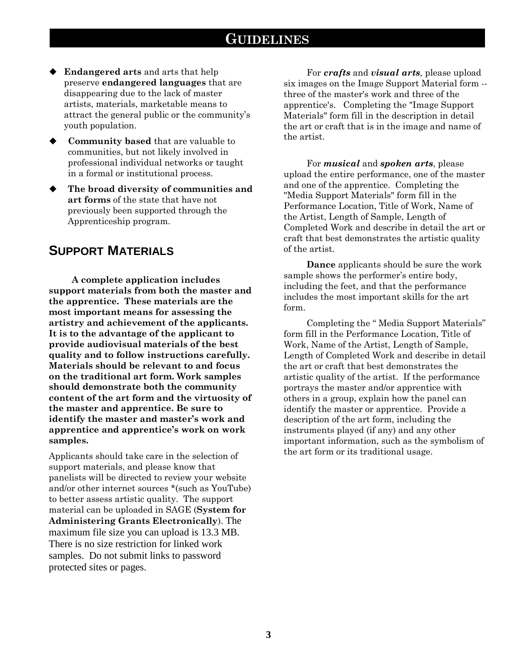- **Endangered arts** and arts that help preserve **endangered languages** that are disappearing due to the lack of master artists, materials, marketable means to attract the general public or the community's youth population.
- **Community based** that are valuable to communities, but not likely involved in professional individual networks or taught in a formal or institutional process.
- **The broad diversity of communities and art forms** of the state that have not previously been supported through the Apprenticeship program.

### **SUPPORT MATERIALS**

**A complete application includes support materials from both the master and the apprentice. These materials are the most important means for assessing the artistry and achievement of the applicants. It is to the advantage of the applicant to provide audiovisual materials of the best quality and to follow instructions carefully. Materials should be relevant to and focus on the traditional art form. Work samples should demonstrate both the community content of the art form and the virtuosity of the master and apprentice. Be sure to identify the master and master's work and apprentice and apprentice's work on work samples.**

Applicants should take care in the selection of support materials, and please know that panelists will be directed to review your website and/or other internet sources \*(such as YouTube) to better assess artistic quality. The support material can be uploaded in SAGE (**System for Administering Grants Electronically**). The maximum file size you can upload is 13.3 MB. There is no size restriction for linked work samples. Do not submit links to password protected sites or pages.

For *crafts* and *visual arts,* please upload six images on the Image Support Material form - three of the master's work and three of the apprentice's. Completing the "Image Support Materials" form fill in the description in detail the art or craft that is in the image and name of the artist.

For *musical* and *spoken arts*, please upload the entire performance, one of the master and one of the apprentice. Completing the "Media Support Materials" form fill in the Performance Location, Title of Work, Name of the Artist, Length of Sample, Length of Completed Work and describe in detail the art or craft that best demonstrates the artistic quality of the artist.

**Dance** applicants should be sure the work sample shows the performer's entire body, including the feet, and that the performance includes the most important skills for the art form.

Completing the " Media Support Materials" form fill in the Performance Location, Title of Work, Name of the Artist, Length of Sample, Length of Completed Work and describe in detail the art or craft that best demonstrates the artistic quality of the artist. If the performance portrays the master and/or apprentice with others in a group, explain how the panel can identify the master or apprentice. Provide a description of the art form, including the instruments played (if any) and any other important information, such as the symbolism of the art form or its traditional usage.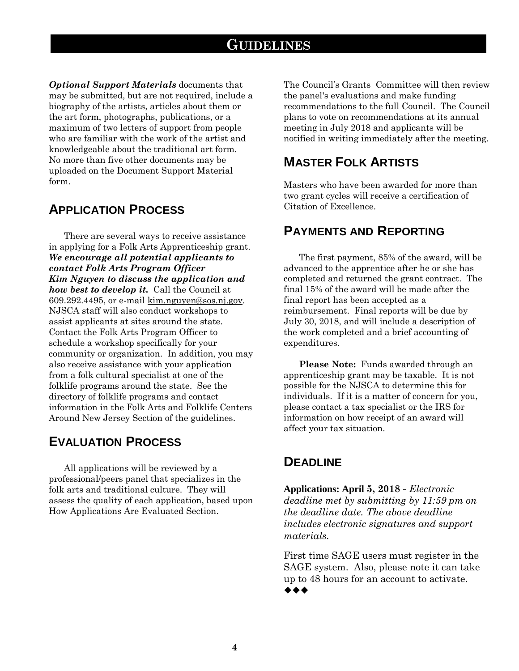*Optional Support Materials* documents that may be submitted, but are not required, include a biography of the artists, articles about them or the art form, photographs, publications, or a maximum of two letters of support from people who are familiar with the work of the artist and knowledgeable about the traditional art form. No more than five other documents may be uploaded on the Document Support Material form.

### **APPLICATION PROCESS**

There are several ways to receive assistance in applying for a Folk Arts Apprenticeship grant. *We encourage all potential applicants to contact Folk Arts Program Officer Kim Nguyen to discuss the application and how best to develop it.* Call the Council at 609.292.4495, or e-mail [kim.nguyen@sos.nj.gov.](mailto:kim.nguyen@sos.state.nj.us) NJSCA staff will also conduct workshops to assist applicants at sites around the state. Contact the Folk Arts Program Officer to schedule a workshop specifically for your community or organization. In addition, you may also receive assistance with your application from a folk cultural specialist at one of the folklife programs around the state. See the directory of folklife programs and contact information in the Folk Arts and Folklife Centers Around New Jersey Section of the guidelines.

### **EVALUATION PROCESS**

All applications will be reviewed by a professional/peers panel that specializes in the folk arts and traditional culture. They will assess the quality of each application, based upon How Applications Are Evaluated Section.

The Council's Grants Committee will then review the panel's evaluations and make funding recommendations to the full Council. The Council plans to vote on recommendations at its annual meeting in July 2018 and applicants will be notified in writing immediately after the meeting.

### **MASTER FOLK ARTISTS**

Masters who have been awarded for more than two grant cycles will receive a certification of Citation of Excellence.

### **PAYMENTS AND REPORTING**

The first payment, 85% of the award, will be advanced to the apprentice after he or she has completed and returned the grant contract. The final 15% of the award will be made after the final report has been accepted as a reimbursement. Final reports will be due by July 30, 2018, and will include a description of the work completed and a brief accounting of expenditures.

**Please Note:** Funds awarded through an apprenticeship grant may be taxable. It is not possible for the NJSCA to determine this for individuals. If it is a matter of concern for you, please contact a tax specialist or the IRS for information on how receipt of an award will affect your tax situation.

### **DEADLINE**

**Applications: April 5, 2018 -** *Electronic deadline met by submitting by 11:59 pm on the deadline date. The above deadline includes electronic signatures and support materials.*

First time SAGE users must register in the SAGE system. Also, please note it can take up to 48 hours for an account to activate. ◆◆◆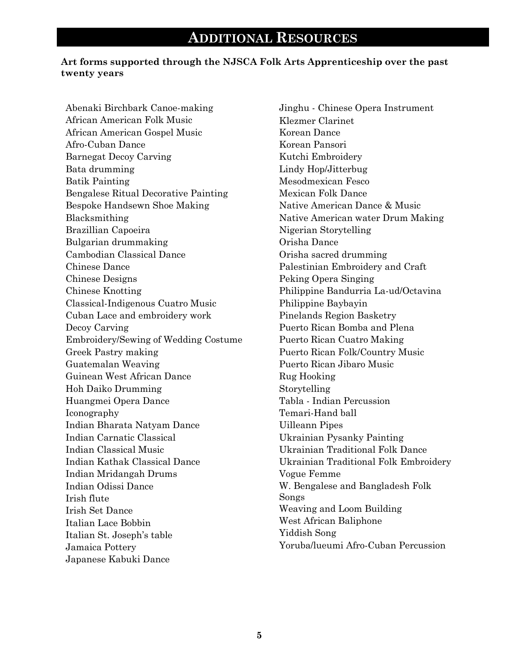#### **Art forms supported through the NJSCA Folk Arts Apprenticeship over the past twenty years**

Abenaki Birchbark Canoe-making African American Folk Music African American Gospel Music Afro-Cuban Dance Barnegat Decoy Carving Bata drumming Batik Painting Bengalese Ritual Decorative Painting Bespoke Handsewn Shoe Making Blacksmithing Brazillian Capoeira Bulgarian drummaking Cambodian Classical Dance Chinese Dance Chinese Designs Chinese Knotting Classical-Indigenous Cuatro Music Cuban Lace and embroidery work Decoy Carving Embroidery/Sewing of Wedding Costume Greek Pastry making Guatemalan Weaving Guinean West African Dance Hoh Daiko Drumming Huangmei Opera Dance Iconography Indian Bharata Natyam Dance Indian Carnatic Classical Indian Classical Music Indian Kathak Classical Dance Indian Mridangah Drums Indian Odissi Dance Irish flute Irish Set Dance Italian Lace Bobbin Italian St. Joseph's table Jamaica Pottery Japanese Kabuki Dance

Jinghu - Chinese Opera Instrument Klezmer Clarinet Korean Dance Korean Pansori Kutchi Embroidery Lindy Hop/Jitterbug Mesodmexican Fesco Mexican Folk Dance Native American Dance & Music Native American water Drum Making Nigerian Storytelling Orisha Dance Orisha sacred drumming Palestinian Embroidery and Craft Peking Opera Singing Philippine Bandurria La-ud/Octavina Philippine Baybayin Pinelands Region Basketry Puerto Rican Bomba and Plena Puerto Rican Cuatro Making Puerto Rican Folk/Country Music Puerto Rican Jibaro Music Rug Hooking Storytelling Tabla - Indian Percussion Temari-Hand ball Uilleann Pipes Ukrainian Pysanky Painting Ukrainian Traditional Folk Dance Ukrainian Traditional Folk Embroidery Vogue Femme W. Bengalese and Bangladesh Folk Songs Weaving and Loom Building West African Baliphone Yiddish Song Yoruba/lueumi Afro-Cuban Percussion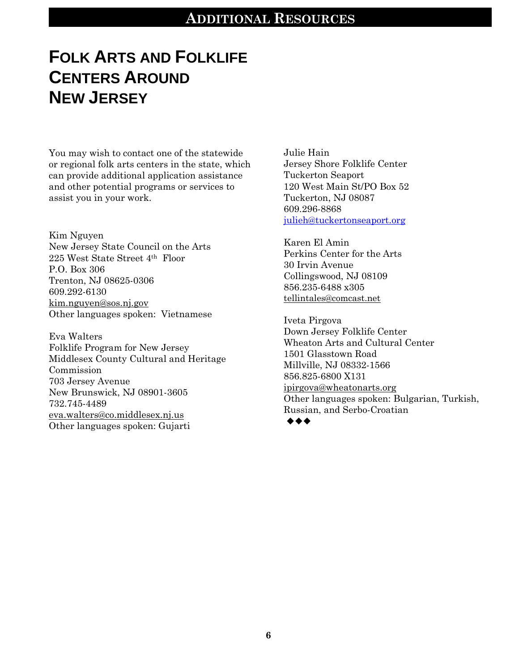# **ADDITIONAL RESOURCES**

# **FOLK ARTS AND FOLKLIFE CENTERS AROUND NEW JERSEY**

You may wish to contact one of the statewide or regional folk arts centers in the state, which can provide additional application assistance and other potential programs or services to assist you in your work.

Kim Nguyen New Jersey State Council on the Arts 225 West State Street 4th Floor P.O. Box 306 Trenton, NJ 08625-0306 609.292-6130 [kim.nguyen@sos.nj.gov](mailto:kim.nguyen@sos.state.nj.us) Other languages spoken: Vietnamese

Eva Walters Folklife Program for New Jersey Middlesex County Cultural and Heritage Commission 703 Jersey Avenue New Brunswick, NJ 08901-3605 732.745-4489 [eva.walters@co.middlesex.nj.us](mailto:eva.walters@co.middlesex.nj.us) Other languages spoken: Gujarti

Julie Hain Jersey Shore Folklife Center Tuckerton Seaport 120 West Main St/PO Box 52 Tuckerton, NJ 08087 609.296-8868 [julieh@tuckertonseaport.org](mailto:julieh@tuckertonseaport.org)

Karen El Amin Perkins Center for the Arts 30 Irvin Avenue Collingswood, NJ 08109 856.235-6488 x305 [tellintales@comcast.net](mailto:tellintales@comcast.net)

Iveta Pirgova Down Jersey Folklife Center Wheaton Arts and Cultural Center 1501 Glasstown Road Millville, NJ 08332-1566 856.825-6800 X131 [ipirgova@wheatonarts.org](mailto:ipirgova@wheatonarts.org) Other languages spoken: Bulgarian, Turkish, Russian, and Serbo-Croatian  $\bullet\hspace{0.4mm}\bullet\hspace{0.4mm}\bullet\hspace{0.4mm}\bullet$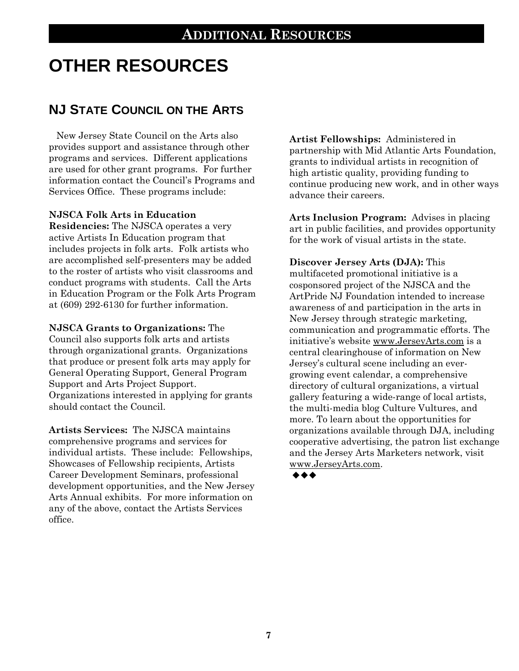# **OTHER RESOURCES**

# **NJ STATE COUNCIL ON THE ARTS**

New Jersey State Council on the Arts also provides support and assistance through other programs and services. Different applications are used for other grant programs. For further information contact the Council's Programs and Services Office. These programs include:

#### **NJSCA Folk Arts in Education**

**Residencies:** The NJSCA operates a very active Artists In Education program that includes projects in folk arts. Folk artists who are accomplished self-presenters may be added to the roster of artists who visit classrooms and conduct programs with students. Call the Arts in Education Program or the Folk Arts Program at (609) 292-6130 for further information.

**NJSCA Grants to Organizations:** The Council also supports folk arts and artists through organizational grants. Organizations that produce or present folk arts may apply for General Operating Support, General Program Support and Arts Project Support. Organizations interested in applying for grants should contact the Council.

**Artists Services:** The NJSCA maintains comprehensive programs and services for individual artists. These include: Fellowships, Showcases of Fellowship recipients, Artists Career Development Seminars, professional development opportunities, and the New Jersey Arts Annual exhibits. For more information on any of the above, contact the Artists Services office.

**Artist Fellowships:** Administered in partnership with Mid Atlantic Arts Foundation, grants to individual artists in recognition of high artistic quality, providing funding to continue producing new work, and in other ways advance their careers.

**Arts Inclusion Program:** Advises in placing art in public facilities, and provides opportunity for the work of visual artists in the state.

#### **Discover Jersey Arts (DJA):** This

multifaceted promotional initiative is a cosponsored project of the NJSCA and the ArtPride NJ Foundation intended to increase awareness of and participation in the arts in New Jersey through strategic marketing, communication and programmatic efforts. The initiative's website [www.JerseyArts.com](http://www.jerseyarts.com/) is a central clearinghouse of information on New Jersey's cultural scene including an evergrowing event calendar, a comprehensive directory of cultural organizations, a virtual gallery featuring a wide-range of local artists, the multi-media blog Culture Vultures, and more. To learn about the opportunities for organizations available through DJA, including cooperative advertising, the patron list exchange and the Jersey Arts Marketers network, visit [www.JerseyArts.com.](http://www.jerseyarts.com/)

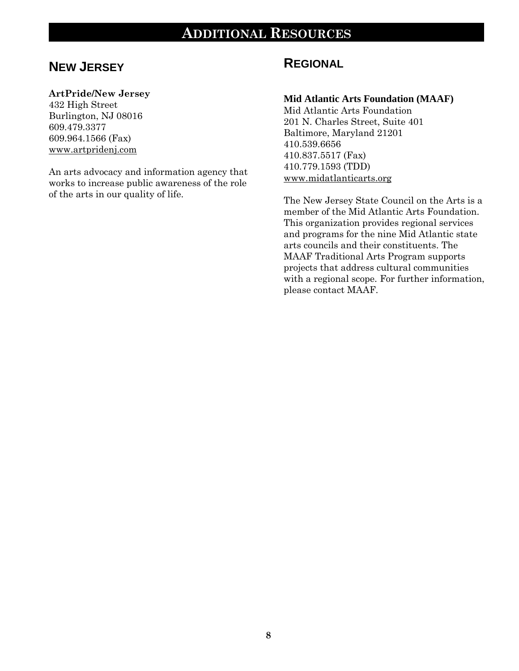### **ADDITIONAL RESOURCES**

### **NEW JERSEY**

#### **ArtPride/New Jersey**

432 High Street Burlington, NJ 08016 609.479.3377 609.964.1566 (Fax) [www.artpridenj.com](http://www.artpridenj.com/)

An arts advocacy and information agency that works to increase public awareness of the role of the arts in our quality of life.

### **REGIONAL**

#### **Mid Atlantic Arts Foundation (MAAF)**

Mid Atlantic Arts Foundation 201 N. Charles Street, Suite 401 Baltimore, Maryland 21201 410.539.6656 410.837.5517 (Fax) 410.779.1593 (TDD) [www.midatlanticarts.org](http://www.midatlanticarts.org/)

The New Jersey State Council on the Arts is a member of the Mid Atlantic Arts Foundation. This organization provides regional services and programs for the nine Mid Atlantic state arts councils and their constituents. The MAAF Traditional Arts Program supports projects that address cultural communities with a regional scope. For further information, please contact MAAF.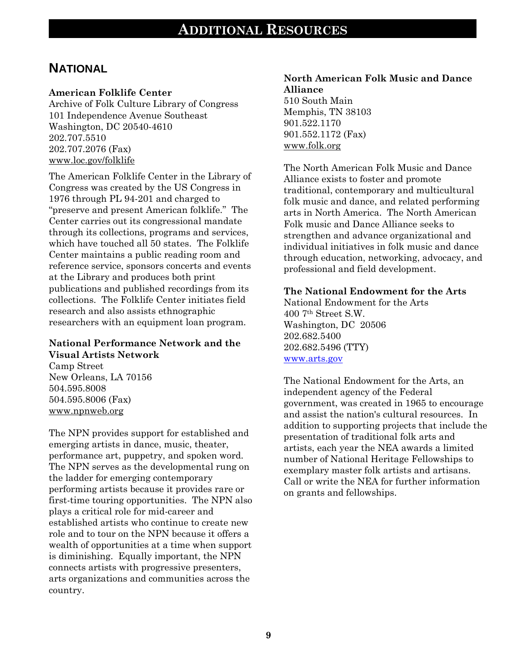### **NATIONAL**

#### **American Folklife Center**

Archive of Folk Culture Library of Congress 101 Independence Avenue Southeast Washington, DC 20540-4610 202.707.5510 202.707.2076 (Fax) [www.loc.gov/folklife](http://www.loc.gov/folklife)

The American Folklife Center in the Library of Congress was created by the US Congress in 1976 through PL 94-201 and charged to "preserve and present American folklife." The Center carries out its congressional mandate through its collections, programs and services, which have touched all 50 states. The Folklife Center maintains a public reading room and reference service, sponsors concerts and events at the Library and produces both print publications and published recordings from its collections. The Folklife Center initiates field research and also assists ethnographic researchers with an equipment loan program.

#### **National Performance Network and the Visual Artists Network**

Camp Street New Orleans, LA 70156 504.595.8008 504.595.8006 (Fax) [www.npnweb.org](http://www.npnweb.org/)

The NPN provides support for established and emerging artists in dance, music, theater, performance art, puppetry, and spoken word. The NPN serves as the developmental rung on the ladder for emerging contemporary performing artists because it provides rare or first-time touring opportunities. The NPN also plays a critical role for mid-career and established artists who continue to create new role and to tour on the NPN because it offers a wealth of opportunities at a time when support is diminishing. Equally important, the NPN connects artists with progressive presenters, arts organizations and communities across the country.

### **North American Folk Music and Dance Alliance**

510 South Main Memphis, TN 38103 901.522.1170 901.552.1172 (Fax) [www.folk.org](http://www.folk.org/)

The North American Folk Music and Dance Alliance exists to foster and promote traditional, contemporary and multicultural folk music and dance, and related performing arts in North America. The North American Folk music and Dance Alliance seeks to strengthen and advance organizational and individual initiatives in folk music and dance through education, networking, advocacy, and professional and field development.

#### **The National Endowment for the Arts**

National Endowment for the Arts 400 7th Street S.W. Washington, DC 20506 202.682.5400 202.682.5496 (TTY) [www.arts.gov](http://www.arts.gov/)

The National Endowment for the Arts, an independent agency of the Federal government, was created in 1965 to encourage and assist the nation's cultural resources. In addition to supporting projects that include the presentation of traditional folk arts and artists, each year the NEA awards a limited number of National Heritage Fellowships to exemplary master folk artists and artisans. Call or write the NEA for further information on grants and fellowships.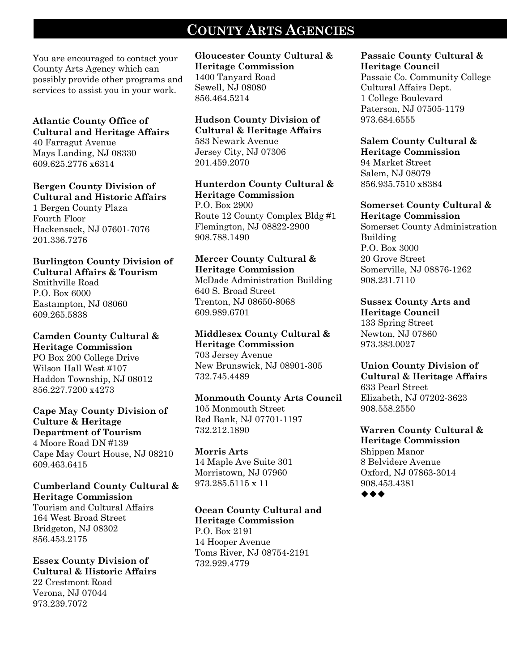# **COUNTY ARTS AGENCIES**

You are encouraged to contact your County Arts Agency which can possibly provide other programs and services to assist you in your work.

#### **Atlantic County Office of Cultural and Heritage Affairs**

40 Farragut Avenue Mays Landing, NJ 08330 609.625.2776 x6314

#### **Bergen County Division of Cultural and Historic Affairs**

1 Bergen County Plaza Fourth Floor Hackensack, NJ 07601-7076 201.336.7276

#### **Burlington County Division of Cultural Affairs & Tourism**

Smithville Road P.O. Box 6000 Eastampton, NJ 08060 609.265.5838

### **Camden County Cultural &**

**Heritage Commission** PO Box 200 College Drive Wilson Hall West #107 Haddon Township, NJ 08012 856.227.7200 x4273

#### **Cape May County Division of Culture & Heritage Department of Tourism** 4 Moore Road DN #139

Cape May Court House, NJ 08210 609.463.6415

#### **Cumberland County Cultural & Heritage Commission**

Tourism and Cultural Affairs 164 West Broad Street Bridgeton, NJ 08302 856.453.2175

#### **Essex County Division of Cultural & Historic Affairs** 22 Crestmont Road Verona, NJ 07044 973.239.7072

**Gloucester County Cultural & Heritage Commission** 1400 Tanyard Road Sewell, NJ 08080 856.464.5214

#### **Hudson County Division of Cultural & Heritage Affairs** 583 Newark Avenue Jersey City, NJ 07306

201.459.2070

#### **Hunterdon County Cultural & Heritage Commission** P.O. Box 2900 Route 12 County Complex Bldg #1 Flemington, NJ 08822-2900 908.788.1490

#### **Mercer County Cultural & Heritage Commission**

McDade Administration Building 640 S. Broad Street Trenton, NJ 08650-8068 609.989.6701

#### **Middlesex County Cultural & Heritage Commission**

703 Jersey Avenue New Brunswick, NJ 08901-305 732.745.4489

#### **Monmouth County Arts Council**

105 Monmouth Street Red Bank, NJ 07701-1197 732.212.1890

#### **Morris Arts**

14 Maple Ave Suite 301 Morristown, NJ 07960 973.285.5115 x 11

#### **Ocean County Cultural and Heritage Commission** P.O. Box 2191 14 Hooper Avenue Toms River, NJ 08754-2191 732.929.4779

#### **Passaic County Cultural & Heritage Council**

Passaic Co. Community College Cultural Affairs Dept. 1 College Boulevard Paterson, NJ 07505-1179 973.684.6555

# **Salem County Cultural &**

**Heritage Commission** 94 Market Street Salem, NJ 08079 856.935.7510 x8384

#### **Somerset County Cultural & Heritage Commission**

Somerset County Administration Building P.O. Box 3000 20 Grove Street Somerville, NJ 08876-1262 908.231.7110

## **Sussex County Arts and**

**Heritage Council** 133 Spring Street Newton, NJ 07860 973.383.0027

#### **Union County Division of Cultural & Heritage Affairs**

633 Pearl Street Elizabeth, NJ 07202-3623 908.558.2550

### **Warren County Cultural &**

**Heritage Commission** Shippen Manor 8 Belvidere Avenue Oxford, NJ 07863-3014 908.453.4381  $\bullet\hspace{0.4mm}\bullet\hspace{0.4mm}\bullet\hspace{0.4mm}\bullet$